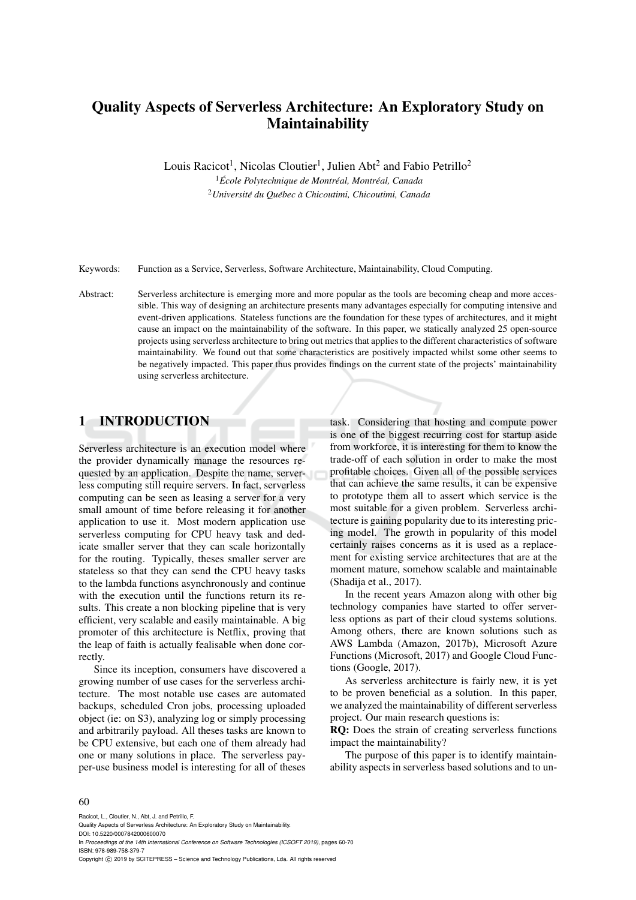# Quality Aspects of Serverless Architecture: An Exploratory Study on Maintainability

Louis Racicot<sup>1</sup>, Nicolas Cloutier<sup>1</sup>, Julien Abt<sup>2</sup> and Fabio Petrillo<sup>2</sup>

<sup>1</sup> École Polytechnique de Montréal, Montréal, Canada <sup>2</sup> Université du Québec à Chicoutimi, Chicoutimi, Canada

Keywords: Function as a Service, Serverless, Software Architecture, Maintainability, Cloud Computing.

Abstract: Serverless architecture is emerging more and more popular as the tools are becoming cheap and more accessible. This way of designing an architecture presents many advantages especially for computing intensive and event-driven applications. Stateless functions are the foundation for these types of architectures, and it might cause an impact on the maintainability of the software. In this paper, we statically analyzed 25 open-source projects using serverless architecture to bring out metrics that applies to the different characteristics of software maintainability. We found out that some characteristics are positively impacted whilst some other seems to be negatively impacted. This paper thus provides findings on the current state of the projects' maintainability using serverless architecture.

### 1 INTRODUCTION

Serverless architecture is an execution model where the provider dynamically manage the resources requested by an application. Despite the name, serverless computing still require servers. In fact, serverless computing can be seen as leasing a server for a very small amount of time before releasing it for another application to use it. Most modern application use serverless computing for CPU heavy task and dedicate smaller server that they can scale horizontally for the routing. Typically, theses smaller server are stateless so that they can send the CPU heavy tasks to the lambda functions asynchronously and continue with the execution until the functions return its results. This create a non blocking pipeline that is very efficient, very scalable and easily maintainable. A big promoter of this architecture is Netflix, proving that the leap of faith is actually fealisable when done correctly.

Since its inception, consumers have discovered a growing number of use cases for the serverless architecture. The most notable use cases are automated backups, scheduled Cron jobs, processing uploaded object (ie: on S3), analyzing log or simply processing and arbitrarily payload. All theses tasks are known to be CPU extensive, but each one of them already had one or many solutions in place. The serverless payper-use business model is interesting for all of theses task. Considering that hosting and compute power is one of the biggest recurring cost for startup aside from workforce, it is interesting for them to know the trade-off of each solution in order to make the most profitable choices. Given all of the possible services that can achieve the same results, it can be expensive to prototype them all to assert which service is the most suitable for a given problem. Serverless architecture is gaining popularity due to its interesting pricing model. The growth in popularity of this model certainly raises concerns as it is used as a replacement for existing service architectures that are at the moment mature, somehow scalable and maintainable (Shadija et al., 2017).

In the recent years Amazon along with other big technology companies have started to offer serverless options as part of their cloud systems solutions. Among others, there are known solutions such as AWS Lambda (Amazon, 2017b), Microsoft Azure Functions (Microsoft, 2017) and Google Cloud Functions (Google, 2017).

As serverless architecture is fairly new, it is yet to be proven beneficial as a solution. In this paper, we analyzed the maintainability of different serverless project. Our main research questions is:

RQ: Does the strain of creating serverless functions impact the maintainability?

The purpose of this paper is to identify maintainability aspects in serverless based solutions and to un-

#### 60

Racicot, L., Cloutier, N., Abt, J. and Petrillo, F.

In *Proceedings of the 14th International Conference on Software Technologies (ICSOFT 2019)*, pages 60-70 ISBN: 978-989-758-379-7

Copyright © 2019 by SCITEPRESS - Science and Technology Publications, Lda. All rights reserved

Quality Aspects of Serverless Architecture: An Exploratory Study on Maintainability. DOI: 10.5220/0007842000600070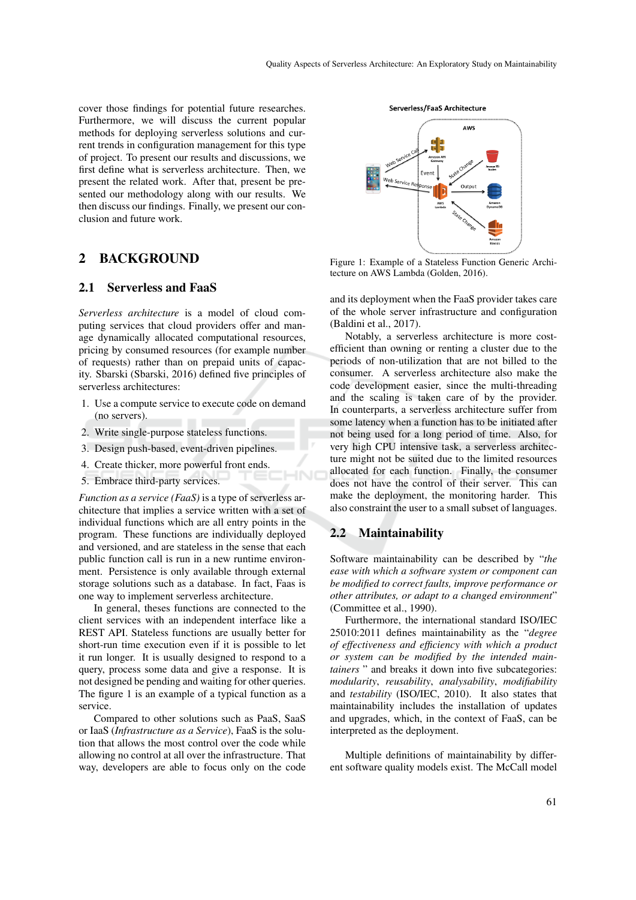cover those findings for potential future researches. Furthermore, we will discuss the current popular methods for deploying serverless solutions and current trends in configuration management for this type of project. To present our results and discussions, we first define what is serverless architecture. Then, we present the related work. After that, present be presented our methodology along with our results. We then discuss our findings. Finally, we present our conclusion and future work.

### 2 BACKGROUND

#### 2.1 Serverless and FaaS

*Serverless architecture* is a model of cloud computing services that cloud providers offer and manage dynamically allocated computational resources, pricing by consumed resources (for example number of requests) rather than on prepaid units of capacity. Sbarski (Sbarski, 2016) defined five principles of serverless architectures:

- 1. Use a compute service to execute code on demand (no servers).
- 2. Write single-purpose stateless functions.
- 3. Design push-based, event-driven pipelines.
- 4. Create thicker, more powerful front ends.
- 5. Embrace third-party services.

*Function as a service (FaaS)* is a type of serverless architecture that implies a service written with a set of individual functions which are all entry points in the program. These functions are individually deployed and versioned, and are stateless in the sense that each public function call is run in a new runtime environment. Persistence is only available through external storage solutions such as a database. In fact, Faas is one way to implement serverless architecture.

In general, theses functions are connected to the client services with an independent interface like a REST API. Stateless functions are usually better for short-run time execution even if it is possible to let it run longer. It is usually designed to respond to a query, process some data and give a response. It is not designed be pending and waiting for other queries. The figure 1 is an example of a typical function as a service.

Compared to other solutions such as PaaS, SaaS or IaaS (*Infrastructure as a Service*), FaaS is the solution that allows the most control over the code while allowing no control at all over the infrastructure. That way, developers are able to focus only on the code



Figure 1: Example of a Stateless Function Generic Architecture on AWS Lambda (Golden, 2016).

and its deployment when the FaaS provider takes care of the whole server infrastructure and configuration (Baldini et al., 2017).

Notably, a serverless architecture is more costefficient than owning or renting a cluster due to the periods of non-utilization that are not billed to the consumer. A serverless architecture also make the code development easier, since the multi-threading and the scaling is taken care of by the provider. In counterparts, a serverless architecture suffer from some latency when a function has to be initiated after not being used for a long period of time. Also, for very high CPU intensive task, a serverless architecture might not be suited due to the limited resources allocated for each function. Finally, the consumer does not have the control of their server. This can make the deployment, the monitoring harder. This also constraint the user to a small subset of languages.

#### 2.2 Maintainability

Software maintainability can be described by "*the ease with which a software system or component can be modified to correct faults, improve performance or other attributes, or adapt to a changed environment*" (Committee et al., 1990).

Furthermore, the international standard ISO/IEC 25010:2011 defines maintainability as the "*degree of effectiveness and efficiency with which a product or system can be modified by the intended maintainers* " and breaks it down into five subcategories: *modularity*, *reusability*, *analysability*, *modifiability* and *testability* (ISO/IEC, 2010). It also states that maintainability includes the installation of updates and upgrades, which, in the context of FaaS, can be interpreted as the deployment.

Multiple definitions of maintainability by different software quality models exist. The McCall model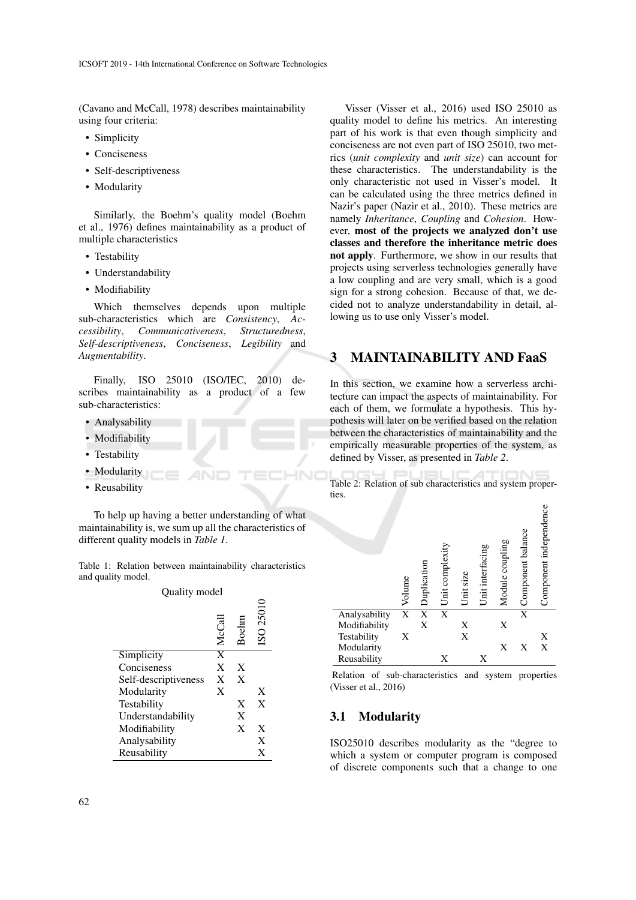(Cavano and McCall, 1978) describes maintainability using four criteria:

- Simplicity
- Conciseness
- Self-descriptiveness
- Modularity

Similarly, the Boehm's quality model (Boehm et al., 1976) defines maintainability as a product of multiple characteristics

- Testability
- Understandability
- Modifiability

Which themselves depends upon multiple sub-characteristics which are *Consistency*, *Accessibility*, *Communicativeness*, *Structuredness*, *Self-descriptiveness*, *Conciseness*, *Legibility* and *Augmentability*.

Finally, ISO 25010 (ISO/IEC, 2010) describes maintainability as a product of a few sub-characteristics:

- Analysability
- Modifiability
- Testability
- Modularity
- Reusability

To help up having a better understanding of what maintainability is, we sum up all the characteristics of different quality models in *Table 1*.

Table 1: Relation between maintainability characteristics and quality model.

### Quality model

|                      | McCall | Boeln | 25010<br>$\overline{\text{SO}}$ |
|----------------------|--------|-------|---------------------------------|
| Simplicity           | X      |       |                                 |
| Conciseness          | X      | X     |                                 |
| Self-descriptiveness | X      | X     |                                 |
| Modularity           | X      |       | X                               |
| Testability          |        | X     | X                               |
| Understandability    |        | X     |                                 |
| Modifiability        |        | X     | X                               |
| Analysability        |        |       | X                               |
| Reusability          |        |       | X                               |

Visser (Visser et al., 2016) used ISO 25010 as quality model to define his metrics. An interesting part of his work is that even though simplicity and conciseness are not even part of ISO 25010, two metrics (*unit complexity* and *unit size*) can account for these characteristics. The understandability is the only characteristic not used in Visser's model. It can be calculated using the three metrics defined in Nazir's paper (Nazir et al., 2010). These metrics are namely *Inheritance*, *Coupling* and *Cohesion*. However, most of the projects we analyzed don't use classes and therefore the inheritance metric does not apply. Furthermore, we show in our results that projects using serverless technologies generally have a low coupling and are very small, which is a good sign for a strong cohesion. Because of that, we decided not to analyze understandability in detail, allowing us to use only Visser's model.

### 3 MAINTAINABILITY AND FaaS

In this section, we examine how a serverless architecture can impact the aspects of maintainability. For each of them, we formulate a hypothesis. This hypothesis will later on be verified based on the relation between the characteristics of maintainability and the empirically measurable properties of the system, as defined by Visser, as presented in *Table 2*.

Table 2: Relation of sub characteristics and system properties.



Relation of sub-characteristics and system properties (Visser et al., 2016)

### 3.1 Modularity

ISO25010 describes modularity as the "degree to which a system or computer program is composed of discrete components such that a change to one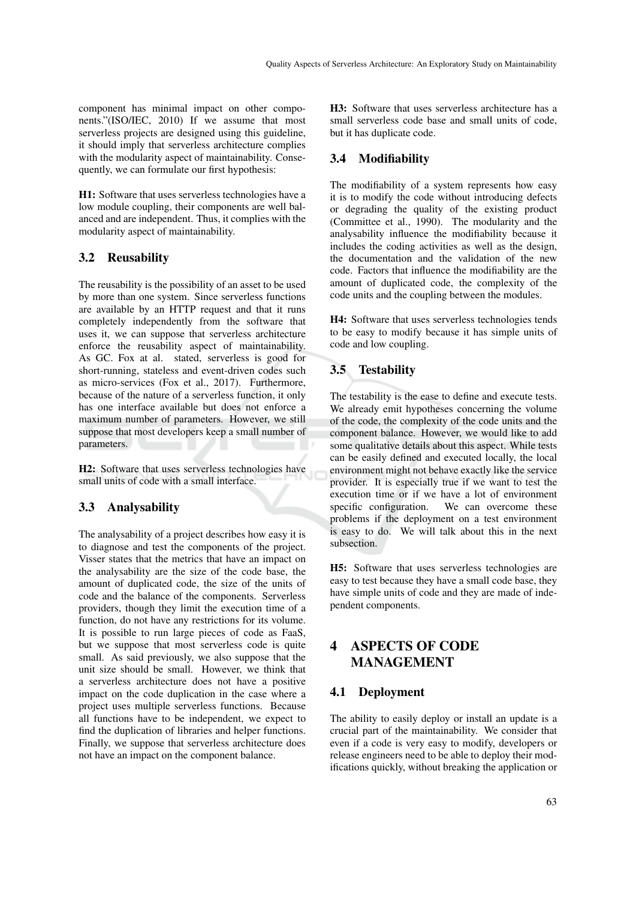component has minimal impact on other components."(ISO/IEC, 2010) If we assume that most serverless projects are designed using this guideline, it should imply that serverless architecture complies with the modularity aspect of maintainability. Consequently, we can formulate our first hypothesis:

H1: Software that uses serverless technologies have a low module coupling, their components are well balanced and are independent. Thus, it complies with the modularity aspect of maintainability.

### 3.2 Reusability

The reusability is the possibility of an asset to be used by more than one system. Since serverless functions are available by an HTTP request and that it runs completely independently from the software that uses it, we can suppose that serverless architecture enforce the reusability aspect of maintainability. As GC. Fox at al. stated, serverless is good for short-running, stateless and event-driven codes such as micro-services (Fox et al., 2017). Furthermore, because of the nature of a serverless function, it only has one interface available but does not enforce a maximum number of parameters. However, we still suppose that most developers keep a small number of parameters.

H2: Software that uses serverless technologies have small units of code with a small interface.

#### 3.3 Analysability

The analysability of a project describes how easy it is to diagnose and test the components of the project. Visser states that the metrics that have an impact on the analysability are the size of the code base, the amount of duplicated code, the size of the units of code and the balance of the components. Serverless providers, though they limit the execution time of a function, do not have any restrictions for its volume. It is possible to run large pieces of code as FaaS, but we suppose that most serverless code is quite small. As said previously, we also suppose that the unit size should be small. However, we think that a serverless architecture does not have a positive impact on the code duplication in the case where a project uses multiple serverless functions. Because all functions have to be independent, we expect to find the duplication of libraries and helper functions. Finally, we suppose that serverless architecture does not have an impact on the component balance.

H3: Software that uses serverless architecture has a small serverless code base and small units of code, but it has duplicate code.

### 3.4 Modifiability

The modifiability of a system represents how easy it is to modify the code without introducing defects or degrading the quality of the existing product (Committee et al., 1990). The modularity and the analysability influence the modifiability because it includes the coding activities as well as the design, the documentation and the validation of the new code. Factors that influence the modifiability are the amount of duplicated code, the complexity of the code units and the coupling between the modules.

H4: Software that uses serverless technologies tends to be easy to modify because it has simple units of code and low coupling.

### 3.5 Testability

The testability is the ease to define and execute tests. We already emit hypotheses concerning the volume of the code, the complexity of the code units and the component balance. However, we would like to add some qualitative details about this aspect. While tests can be easily defined and executed locally, the local environment might not behave exactly like the service provider. It is especially true if we want to test the execution time or if we have a lot of environment specific configuration. We can overcome these problems if the deployment on a test environment is easy to do. We will talk about this in the next subsection.

H5: Software that uses serverless technologies are easy to test because they have a small code base, they have simple units of code and they are made of independent components.

## 4 ASPECTS OF CODE MANAGEMENT

#### 4.1 Deployment

The ability to easily deploy or install an update is a crucial part of the maintainability. We consider that even if a code is very easy to modify, developers or release engineers need to be able to deploy their modifications quickly, without breaking the application or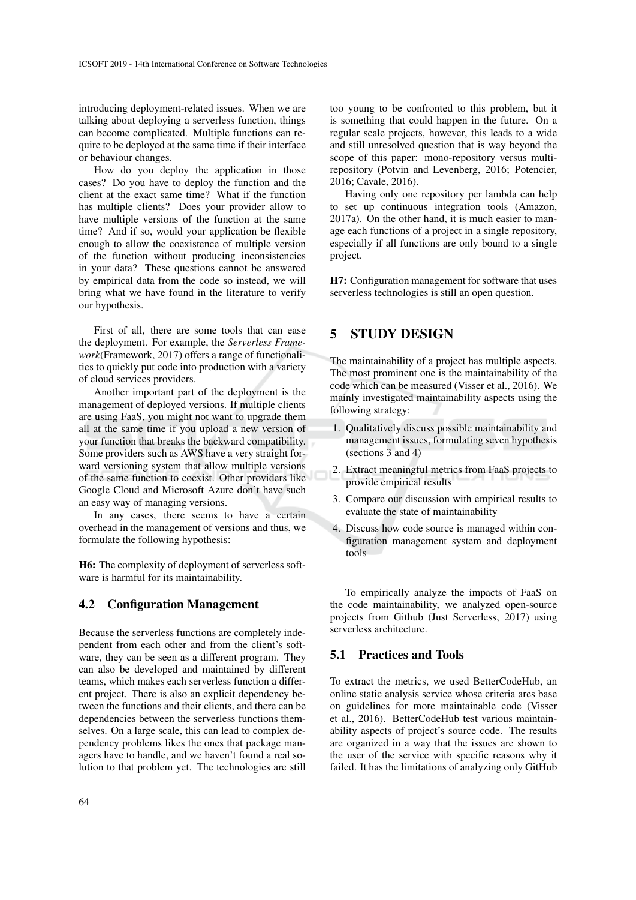introducing deployment-related issues. When we are talking about deploying a serverless function, things can become complicated. Multiple functions can require to be deployed at the same time if their interface or behaviour changes.

How do you deploy the application in those cases? Do you have to deploy the function and the client at the exact same time? What if the function has multiple clients? Does your provider allow to have multiple versions of the function at the same time? And if so, would your application be flexible enough to allow the coexistence of multiple version of the function without producing inconsistencies in your data? These questions cannot be answered by empirical data from the code so instead, we will bring what we have found in the literature to verify our hypothesis.

First of all, there are some tools that can ease the deployment. For example, the *Serverless Framework*(Framework, 2017) offers a range of functionalities to quickly put code into production with a variety of cloud services providers.

Another important part of the deployment is the management of deployed versions. If multiple clients are using FaaS, you might not want to upgrade them all at the same time if you upload a new version of your function that breaks the backward compatibility. Some providers such as AWS have a very straight forward versioning system that allow multiple versions of the same function to coexist. Other providers like Google Cloud and Microsoft Azure don't have such an easy way of managing versions.

In any cases, there seems to have a certain overhead in the management of versions and thus, we formulate the following hypothesis:

H6: The complexity of deployment of serverless software is harmful for its maintainability.

#### 4.2 Configuration Management

Because the serverless functions are completely independent from each other and from the client's software, they can be seen as a different program. They can also be developed and maintained by different teams, which makes each serverless function a different project. There is also an explicit dependency between the functions and their clients, and there can be dependencies between the serverless functions themselves. On a large scale, this can lead to complex dependency problems likes the ones that package managers have to handle, and we haven't found a real solution to that problem yet. The technologies are still

too young to be confronted to this problem, but it is something that could happen in the future. On a regular scale projects, however, this leads to a wide and still unresolved question that is way beyond the scope of this paper: mono-repository versus multirepository (Potvin and Levenberg, 2016; Potencier, 2016; Cavale, 2016).

Having only one repository per lambda can help to set up continuous integration tools (Amazon, 2017a). On the other hand, it is much easier to manage each functions of a project in a single repository, especially if all functions are only bound to a single project.

H7: Configuration management for software that uses serverless technologies is still an open question.

# 5 STUDY DESIGN

The maintainability of a project has multiple aspects. The most prominent one is the maintainability of the code which can be measured (Visser et al., 2016). We mainly investigated maintainability aspects using the following strategy:

- 1. Qualitatively discuss possible maintainability and management issues, formulating seven hypothesis (sections 3 and 4)
- 2. Extract meaningful metrics from FaaS projects to provide empirical results
- 3. Compare our discussion with empirical results to evaluate the state of maintainability
- 4. Discuss how code source is managed within configuration management system and deployment tools

To empirically analyze the impacts of FaaS on the code maintainability, we analyzed open-source projects from Github (Just Serverless, 2017) using serverless architecture.

### 5.1 Practices and Tools

To extract the metrics, we used BetterCodeHub, an online static analysis service whose criteria ares base on guidelines for more maintainable code (Visser et al., 2016). BetterCodeHub test various maintainability aspects of project's source code. The results are organized in a way that the issues are shown to the user of the service with specific reasons why it failed. It has the limitations of analyzing only GitHub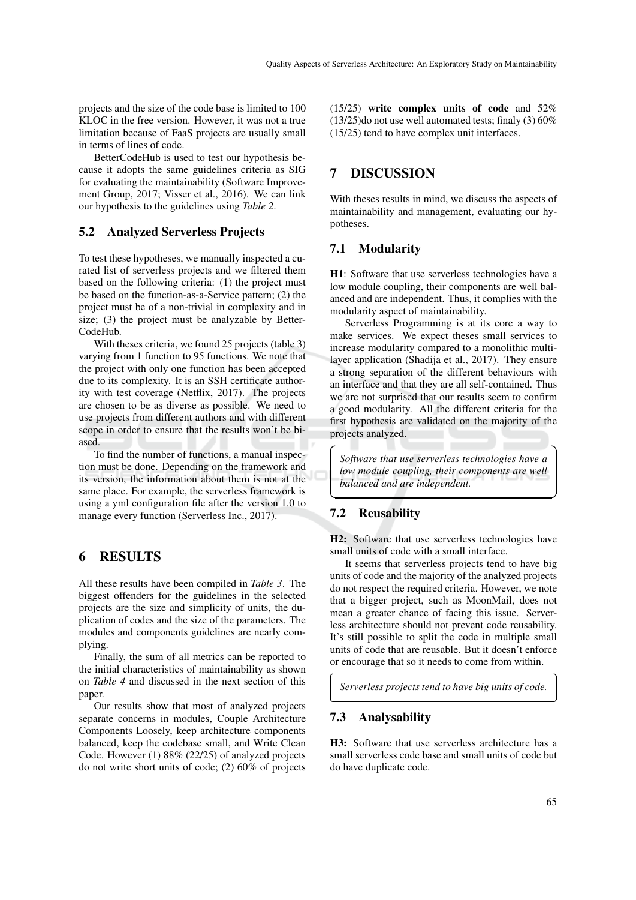projects and the size of the code base is limited to 100 KLOC in the free version. However, it was not a true limitation because of FaaS projects are usually small in terms of lines of code.

BetterCodeHub is used to test our hypothesis because it adopts the same guidelines criteria as SIG for evaluating the maintainability (Software Improvement Group, 2017; Visser et al., 2016). We can link our hypothesis to the guidelines using *Table 2*.

#### 5.2 Analyzed Serverless Projects

To test these hypotheses, we manually inspected a curated list of serverless projects and we filtered them based on the following criteria: (1) the project must be based on the function-as-a-Service pattern; (2) the project must be of a non-trivial in complexity and in size; (3) the project must be analyzable by Better-CodeHub.

With theses criteria, we found 25 projects (table 3) varying from 1 function to 95 functions. We note that the project with only one function has been accepted due to its complexity. It is an SSH certificate authority with test coverage (Netflix, 2017). The projects are chosen to be as diverse as possible. We need to use projects from different authors and with different scope in order to ensure that the results won't be biased.

To find the number of functions, a manual inspection must be done. Depending on the framework and its version, the information about them is not at the same place. For example, the serverless framework is using a yml configuration file after the version 1.0 to manage every function (Serverless Inc., 2017).

### 6 RESULTS

All these results have been compiled in *Table 3*. The biggest offenders for the guidelines in the selected projects are the size and simplicity of units, the duplication of codes and the size of the parameters. The modules and components guidelines are nearly complying.

Finally, the sum of all metrics can be reported to the initial characteristics of maintainability as shown on *Table 4* and discussed in the next section of this paper.

Our results show that most of analyzed projects separate concerns in modules, Couple Architecture Components Loosely, keep architecture components balanced, keep the codebase small, and Write Clean Code. However (1) 88% (22/25) of analyzed projects do not write short units of code; (2) 60% of projects

(15/25) write complex units of code and 52% (13/25)do not use well automated tests; finaly (3) 60% (15/25) tend to have complex unit interfaces.

### 7 DISCUSSION

With theses results in mind, we discuss the aspects of maintainability and management, evaluating our hypotheses.

#### 7.1 Modularity

H1: Software that use serverless technologies have a low module coupling, their components are well balanced and are independent. Thus, it complies with the modularity aspect of maintainability.

Serverless Programming is at its core a way to make services. We expect theses small services to increase modularity compared to a monolithic multilayer application (Shadija et al., 2017). They ensure a strong separation of the different behaviours with an interface and that they are all self-contained. Thus we are not surprised that our results seem to confirm a good modularity. All the different criteria for the first hypothesis are validated on the majority of the projects analyzed.

*Software that use serverless technologies have a low module coupling, their components are well balanced and are independent.*

### 7.2 Reusability

 $\overline{a}$ 

✝

✄

 $\overline{a}$ 

H2: Software that use serverless technologies have small units of code with a small interface.

It seems that serverless projects tend to have big units of code and the majority of the analyzed projects do not respect the required criteria. However, we note that a bigger project, such as MoonMail, does not mean a greater chance of facing this issue. Serverless architecture should not prevent code reusability. It's still possible to split the code in multiple small units of code that are reusable. But it doesn't enforce or encourage that so it needs to come from within.

*Serverless projects tend to have big units of code.*

#### 7.3 Analysability

H3: Software that use serverless architecture has a small serverless code base and small units of code but do have duplicate code.

Ĭ.

✁

☎

✆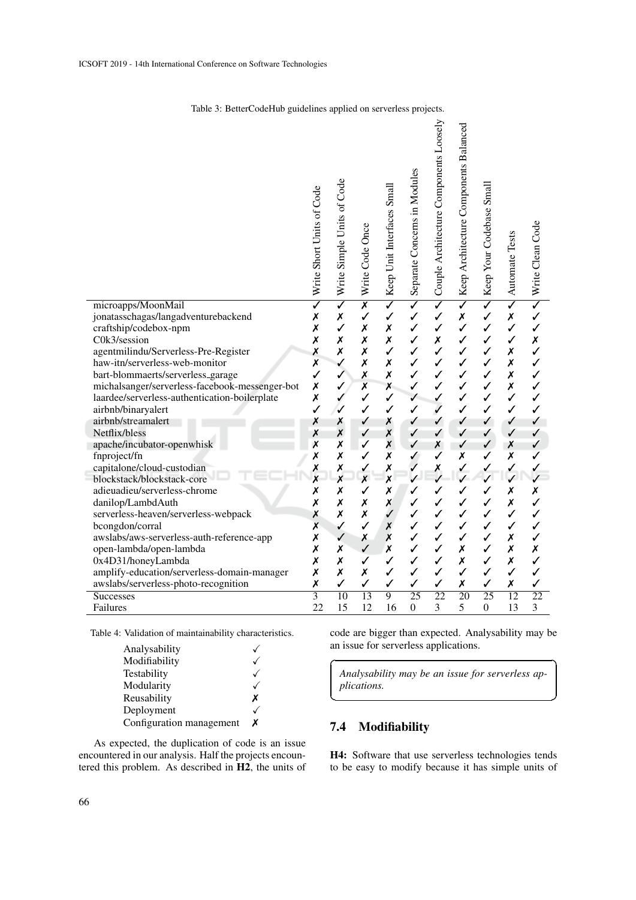|                                                           | Write Short Units of Code    | Write Simple Units of Code   | Write Code Once              | Keep Unit Interfaces Small                      | Separate Concerns in Modules | Couple Architecture Components Loosely  | Keep Architecture Components Balanced         | Keep Your Codebase Small                | Automate Tests               | Nite Clean Code |
|-----------------------------------------------------------|------------------------------|------------------------------|------------------------------|-------------------------------------------------|------------------------------|-----------------------------------------|-----------------------------------------------|-----------------------------------------|------------------------------|-----------------|
| microapps/MoonMail<br>jonatasschagas/langadventurebackend | $\overline{\checkmark}$<br>Х | $\overline{\checkmark}$<br>X | $\overline{\mathbf{x}}$<br>✓ | $\overline{\checkmark}$<br>$\checkmark$         | $\overline{\checkmark}$<br>✓ | $\overline{\checkmark}$<br>$\checkmark$ | $\overline{\checkmark}$<br>$\pmb{\mathsf{x}}$ | $\overline{\checkmark}$<br>$\checkmark$ | $\overline{\checkmark}$<br>X | $\checkmark$    |
| craftship/codebox-npm                                     | X                            | $\checkmark$                 | Х                            | Х                                               | ✓                            | $\checkmark$                            | $\checkmark$                                  | $\checkmark$                            | $\checkmark$                 | ✓               |
| C0k3/session                                              | X                            | X                            | Х                            | X                                               | ✓                            | X                                       | $\checkmark$                                  | ✓                                       | ✓                            | Х               |
| agentmilindu/Serverless-Pre-Register                      | X                            | X                            | X                            | $\checkmark$                                    | ✓                            | $\checkmark$                            | $\checkmark$                                  | $\checkmark$                            | X                            | ✓               |
| haw-itn/serverless-web-monitor                            | $\pmb{\mathsf{x}}$           | ✓                            | Х                            | Х                                               | ✓                            | $\checkmark$                            | $\checkmark$                                  | ✓                                       | X                            | ✓               |
| bart-blommaerts/serverless_garage                         | ✓                            | ✓                            | X                            | Х                                               | ✓                            | $\checkmark$                            | ✓                                             | ✓                                       | X                            | ✓               |
| michalsanger/serverless-facebook-messenger-bot            | Х                            | ✓                            | Х                            | X                                               | ✓                            | ✓                                       | ✓                                             | ✓                                       | X                            | ✓               |
| laardee/serverless-authentication-boilerplate             | $\pmb{\mathsf{x}}$           |                              | ✓                            | $\checkmark$                                    | ✓                            | $\checkmark$                            | ✓                                             | $\checkmark$                            | $\checkmark$                 | ✓               |
| airbnb/binaryalert                                        | $\checkmark$                 |                              | ✓                            | ✓                                               | $\checkmark$                 | $\checkmark$                            | $\checkmark$                                  | $\checkmark$                            | ✓                            | ✓               |
| airbnb/streamalert                                        | Х                            | Х                            | ✓                            | Х                                               | ✓                            | ✓                                       | ✓                                             | ✓                                       | ✓                            | ✓               |
| Netflix/bless                                             | Х                            | $\boldsymbol{x}$             | ✓                            | X                                               | ✓                            | ✓                                       | ✓                                             | ✓                                       | ✓                            | ✓               |
| apache/incubator-openwhisk                                | Х                            | Х                            | ✓                            | X                                               | ✓                            | Х                                       | ✓                                             | ✓                                       | X                            | ✓               |
| fnproject/fn                                              | Х                            | X                            | ✓                            | X                                               | ✓                            |                                         | X                                             | ✓                                       | X                            |                 |
| capitalone/cloud-custodian<br>blockstack/blockstack-core  | X<br>X                       | Х<br>$\boldsymbol{x}$        | $\checkmark$<br>X            | $\pmb{\mathsf{x}}$<br>$\boldsymbol{\mathsf{x}}$ |                              | X                                       |                                               | $\checkmark$                            | $\checkmark$<br>J            |                 |
| adieuadieu/serverless-chrome                              | X                            | Х                            | ✓                            | Х                                               | ✓                            | ✓                                       | ✓                                             | ✓                                       | X                            | Х               |
| danilop/LambdAuth                                         | $\boldsymbol{\mathsf{x}}$    | $\pmb{\mathsf{x}}$           | Х                            | X                                               | ✓                            |                                         | ✓                                             | $\checkmark$                            | X                            |                 |
| serverless-heaven/serverless-webpack                      | Х                            | Х                            | X                            | ✓                                               | ✓                            | $\checkmark$                            | ✓                                             | ✓                                       | ✓                            | ✓               |
| bcongdon/corral                                           | X                            | ✓                            | ✓                            | X                                               | ✓                            | ✓                                       | ✓                                             | ✓                                       | ✓                            | ✓               |
| awslabs/aws-serverless-auth-reference-app                 | Х                            | ✓                            | Х                            | X                                               | ✓                            | ✓                                       | ✓                                             | ✓                                       | X                            | ✓               |
| open-lambda/open-lambda                                   | $\pmb{\mathsf{x}}$           | Х                            | $\checkmark$                 | X                                               | ✓                            | $\checkmark$                            | $\boldsymbol{x}$                              | $\checkmark$                            | X                            | X               |
| 0x4D31/honeyLambda                                        | X                            | X                            | ✓                            | ✓                                               | ✓                            | $\checkmark$                            | X                                             | $\checkmark$                            | $\boldsymbol{x}$             | ✓               |
| amplify-education/serverless-domain-manager               | X                            | X                            | Х                            | ✓                                               | ✓                            | $\checkmark$                            | ✓                                             | $\checkmark$                            | $\checkmark$                 | ✓               |
| awslabs/serverless-photo-recognition                      | $\pmb{\mathsf{x}}$           | ✓                            | ✓                            | ✓                                               | ✓                            | ✓                                       | Х                                             | ✓                                       | Х                            | √               |
| Successes                                                 | $\overline{3}$               | $\overline{10}$              | $\overline{13}$              | $\overline{9}$                                  | $\overline{25}$              | $\overline{22}$                         | $\overline{20}$                               | $\overline{25}$                         | $\overline{12}$              | $\overline{22}$ |
| Failures                                                  | 22                           | 15                           | 12                           | 16                                              | $\boldsymbol{0}$             | 3                                       | 5                                             | $\Omega$                                | 13                           | 3               |

Table 3: BetterCodeHub guidelines applied on serverless projects.

Table 4: Validation of maintainability characteristics.

| Analysability            |   |
|--------------------------|---|
| Modifiability            |   |
| Testability              |   |
| Modularity               |   |
| Reusability              | x |
| Deployment               |   |
| Configuration management | x |

As expected, the duplication of code is an issue encountered in our analysis. Half the projects encountered this problem. As described in H2, the units of code are bigger than expected. Analysability may be an issue for serverless applications.

☎

✆

*Analysability may be an issue for serverless applications.*

# 7.4 Modifiability

 $\overline{a}$ 

✝

H4: Software that use serverless technologies tends to be easy to modify because it has simple units of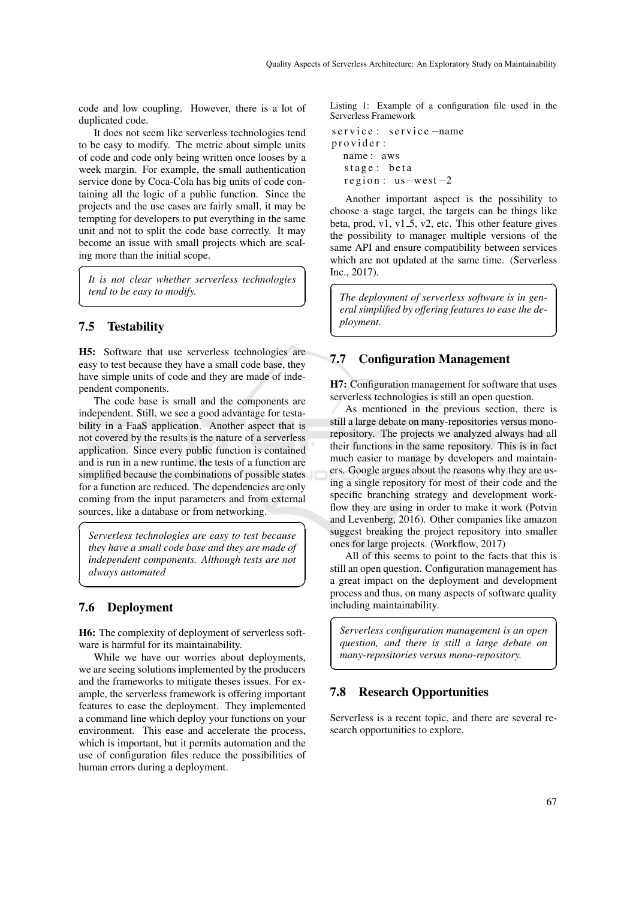code and low coupling. However, there is a lot of duplicated code.

It does not seem like serverless technologies tend to be easy to modify. The metric about simple units of code and code only being written once looses by a week margin. For example, the small authentication service done by Coca-Cola has big units of code containing all the logic of a public function. Since the projects and the use cases are fairly small, it may be tempting for developers to put everything in the same unit and not to split the code base correctly. It may become an issue with small projects which are scaling more than the initial scope.

*It is not clear whether serverless technologies tend to be easy to modify.*

### 7.5 Testability

 $\overline{a}$ 

✝

☛

 $\overline{\phantom{0}}$ 

H5: Software that use serverless technologies are easy to test because they have a small code base, they have simple units of code and they are made of independent components.

The code base is small and the components are independent. Still, we see a good advantage for testability in a FaaS application. Another aspect that is not covered by the results is the nature of a serverless application. Since every public function is contained and is run in a new runtime, the tests of a function are simplified because the combinations of possible states for a function are reduced. The dependencies are only coming from the input parameters and from external sources, like a database or from networking.

*Serverless technologies are easy to test because they have a small code base and they are made of independent components. Although tests are not always automated*

### 7.6 Deployment

H6: The complexity of deployment of serverless software is harmful for its maintainability.

While we have our worries about deployments, we are seeing solutions implemented by the producers and the frameworks to mitigate theses issues. For example, the serverless framework is offering important features to ease the deployment. They implemented a command line which deploy your functions on your environment. This ease and accelerate the process, which is important, but it permits automation and the use of configuration files reduce the possibilities of human errors during a deployment.

Listing 1: Example of a configuration file used in the Serverless Framework

```
s e r v i c e : s e r v i c e -name
provider:
  name : aws
  stage: beta
  region: us-west-2
```
☎

 $\overline{a}$ 

✝

✆

✟

✠

 $\overline{a}$ 

✝

Another important aspect is the possibility to choose a stage target, the targets can be things like beta, prod,  $v1$ ,  $v1_5$ ,  $v2$ , etc. This other feature gives the possibility to manager multiple versions of the same API and ensure compatibility between services which are not updated at the same time. (Serverless Inc., 2017).

*The deployment of serverless software is in general simplified by offering features to ease the deployment.*

### 7.7 Configuration Management

H7: Configuration management for software that uses serverless technologies is still an open question.

As mentioned in the previous section, there is still a large debate on many-repositories versus monorepository. The projects we analyzed always had all their functions in the same repository. This is in fact much easier to manage by developers and maintainers. Google argues about the reasons why they are using a single repository for most of their code and the specific branching strategy and development workflow they are using in order to make it work (Potvin and Levenberg, 2016). Other companies like amazon suggest breaking the project repository into smaller ones for large projects. (Workflow, 2017)

All of this seems to point to the facts that this is still an open question. Configuration management has a great impact on the deployment and development process and thus, on many aspects of software quality including maintainability.

*Serverless configuration management is an open question, and there is still a large debate on many-repositories versus mono-repository.*

#### 7.8 Research Opportunities

Serverless is a recent topic, and there are several research opportunities to explore.

☎

✆

☎

✆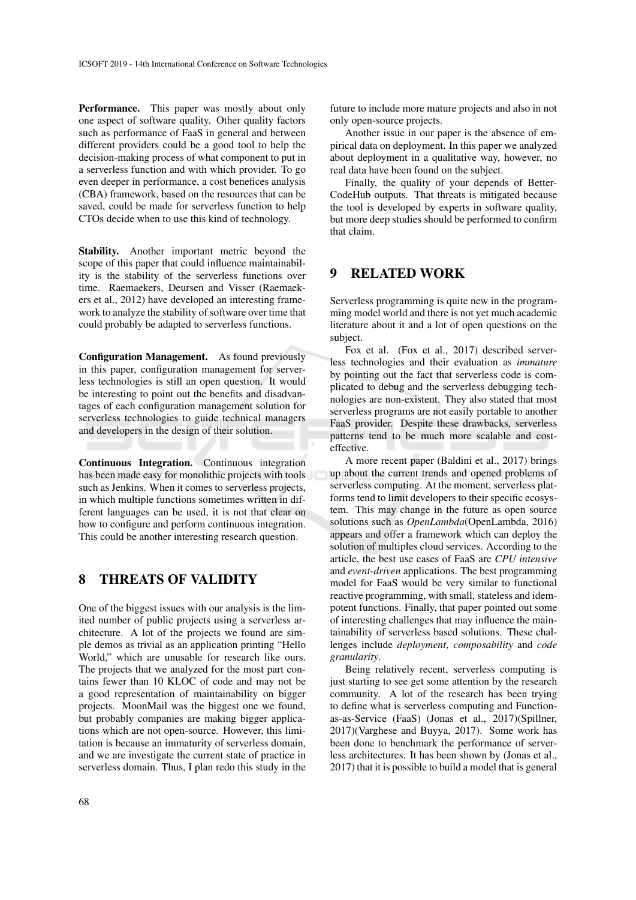Performance. This paper was mostly about only one aspect of software quality. Other quality factors such as performance of FaaS in general and between different providers could be a good tool to help the decision-making process of what component to put in a serverless function and with which provider. To go even deeper in performance, a cost benefices analysis (CBA) framework, based on the resources that can be saved, could be made for serverless function to help CTOs decide when to use this kind of technology.

Stability. Another important metric beyond the scope of this paper that could influence maintainability is the stability of the serverless functions over time. Raemaekers, Deursen and Visser (Raemaekers et al., 2012) have developed an interesting framework to analyze the stability of software over time that could probably be adapted to serverless functions.

Configuration Management. As found previously in this paper, configuration management for serverless technologies is still an open question. It would be interesting to point out the benefits and disadvantages of each configuration management solution for serverless technologies to guide technical managers and developers in the design of their solution.

Continuous Integration. Continuous integration has been made easy for monolithic projects with tools such as Jenkins. When it comes to serverless projects, in which multiple functions sometimes written in different languages can be used, it is not that clear on how to configure and perform continuous integration. This could be another interesting research question.

### 8 THREATS OF VALIDITY

One of the biggest issues with our analysis is the limited number of public projects using a serverless architecture. A lot of the projects we found are simple demos as trivial as an application printing "Hello World," which are unusable for research like ours. The projects that we analyzed for the most part contains fewer than 10 KLOC of code and may not be a good representation of maintainability on bigger projects. MoonMail was the biggest one we found, but probably companies are making bigger applications which are not open-source. However, this limitation is because an immaturity of serverless domain, and we are investigate the current state of practice in serverless domain. Thus, I plan redo this study in the

future to include more mature projects and also in not only open-source projects.

Another issue in our paper is the absence of empirical data on deployment. In this paper we analyzed about deployment in a qualitative way, however, no real data have been found on the subject.

Finally, the quality of your depends of Better-CodeHub outputs. That threats is mitigated because the tool is developed by experts in software quality, but more deep studies should be performed to confirm that claim.

#### 9 RELATED WORK

Serverless programming is quite new in the programming model world and there is not yet much academic literature about it and a lot of open questions on the subject.

Fox et al. (Fox et al., 2017) described serverless technologies and their evaluation as *immature* by pointing out the fact that serverless code is complicated to debug and the serverless debugging technologies are non-existent. They also stated that most serverless programs are not easily portable to another FaaS provider. Despite these drawbacks, serverless patterns tend to be much more scalable and costeffective.

A more recent paper (Baldini et al., 2017) brings up about the current trends and opened problems of serverless computing. At the moment, serverless platforms tend to limit developers to their specific ecosystem. This may change in the future as open source solutions such as *OpenLambda*(OpenLambda, 2016) appears and offer a framework which can deploy the solution of multiples cloud services. According to the article, the best use cases of FaaS are *CPU intensive* and *event-driven* applications. The best programming model for FaaS would be very similar to functional reactive programming, with small, stateless and idempotent functions. Finally, that paper pointed out some of interesting challenges that may influence the maintainability of serverless based solutions. These challenges include *deployment*, *composability* and *code granularity*.

Being relatively recent, serverless computing is just starting to see get some attention by the research community. A lot of the research has been trying to define what is serverless computing and Functionas-as-Service (FaaS) (Jonas et al., 2017)(Spillner, 2017)(Varghese and Buyya, 2017). Some work has been done to benchmark the performance of serverless architectures. It has been shown by (Jonas et al., 2017) that it is possible to build a model that is general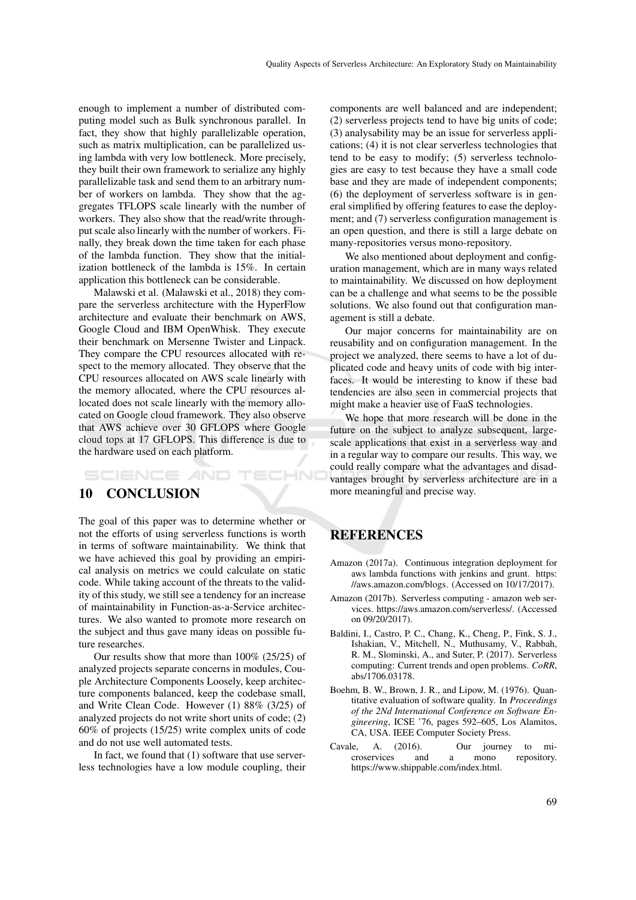enough to implement a number of distributed computing model such as Bulk synchronous parallel. In fact, they show that highly parallelizable operation, such as matrix multiplication, can be parallelized using lambda with very low bottleneck. More precisely, they built their own framework to serialize any highly parallelizable task and send them to an arbitrary number of workers on lambda. They show that the aggregates TFLOPS scale linearly with the number of workers. They also show that the read/write throughput scale also linearly with the number of workers. Finally, they break down the time taken for each phase of the lambda function. They show that the initialization bottleneck of the lambda is 15%. In certain application this bottleneck can be considerable.

Malawski et al. (Malawski et al., 2018) they compare the serverless architecture with the HyperFlow architecture and evaluate their benchmark on AWS, Google Cloud and IBM OpenWhisk. They execute their benchmark on Mersenne Twister and Linpack. They compare the CPU resources allocated with respect to the memory allocated. They observe that the CPU resources allocated on AWS scale linearly with the memory allocated, where the CPU resources allocated does not scale linearly with the memory allocated on Google cloud framework. They also observe that AWS achieve over 30 GFLOPS where Google cloud tops at 17 GFLOPS. This difference is due to the hardware used on each platform.

### SCIENCE *A*ND

### 10 CONCLUSION

The goal of this paper was to determine whether or not the efforts of using serverless functions is worth in terms of software maintainability. We think that we have achieved this goal by providing an empirical analysis on metrics we could calculate on static code. While taking account of the threats to the validity of this study, we still see a tendency for an increase of maintainability in Function-as-a-Service architectures. We also wanted to promote more research on the subject and thus gave many ideas on possible future researches.

Our results show that more than 100% (25/25) of analyzed projects separate concerns in modules, Couple Architecture Components Loosely, keep architecture components balanced, keep the codebase small, and Write Clean Code. However (1) 88% (3/25) of analyzed projects do not write short units of code; (2) 60% of projects (15/25) write complex units of code and do not use well automated tests.

In fact, we found that (1) software that use serverless technologies have a low module coupling, their components are well balanced and are independent; (2) serverless projects tend to have big units of code; (3) analysability may be an issue for serverless applications; (4) it is not clear serverless technologies that tend to be easy to modify; (5) serverless technologies are easy to test because they have a small code base and they are made of independent components; (6) the deployment of serverless software is in general simplified by offering features to ease the deployment; and (7) serverless configuration management is an open question, and there is still a large debate on many-repositories versus mono-repository.

We also mentioned about deployment and configuration management, which are in many ways related to maintainability. We discussed on how deployment can be a challenge and what seems to be the possible solutions. We also found out that configuration management is still a debate.

Our major concerns for maintainability are on reusability and on configuration management. In the project we analyzed, there seems to have a lot of duplicated code and heavy units of code with big interfaces. It would be interesting to know if these bad tendencies are also seen in commercial projects that might make a heavier use of FaaS technologies.

We hope that more research will be done in the future on the subject to analyze subsequent, largescale applications that exist in a serverless way and in a regular way to compare our results. This way, we could really compare what the advantages and disadvantages brought by serverless architecture are in a more meaningful and precise way.

### REFERENCES

ECHN

- Amazon (2017a). Continuous integration deployment for aws lambda functions with jenkins and grunt. https: //aws.amazon.com/blogs. (Accessed on 10/17/2017).
- Amazon (2017b). Serverless computing amazon web services. https://aws.amazon.com/serverless/. (Accessed on 09/20/2017).
- Baldini, I., Castro, P. C., Chang, K., Cheng, P., Fink, S. J., Ishakian, V., Mitchell, N., Muthusamy, V., Rabbah, R. M., Slominski, A., and Suter, P. (2017). Serverless computing: Current trends and open problems. *CoRR*, abs/1706.03178.
- Boehm, B. W., Brown, J. R., and Lipow, M. (1976). Quantitative evaluation of software quality. In *Proceedings of the 2Nd International Conference on Software Engineering*, ICSE '76, pages 592–605, Los Alamitos, CA, USA. IEEE Computer Society Press.
- Cavale, A. (2016). Our journey to microservices and a mono repository. https://www.shippable.com/index.html.